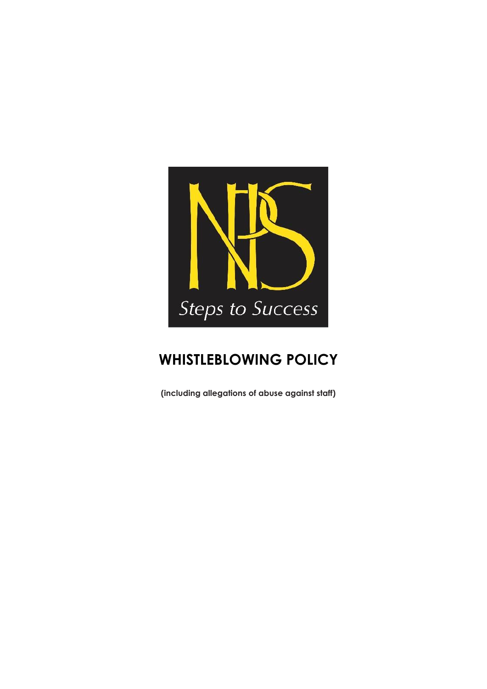

# **WHISTLEBLOWING POLICY**

**(including allegations of abuse against staff)**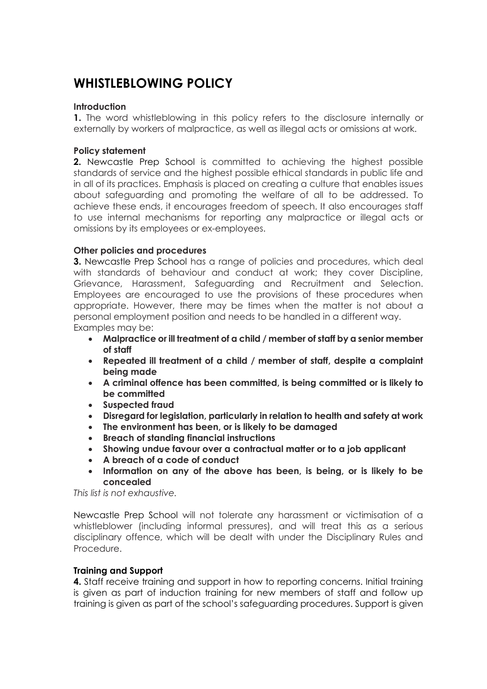# **WHISTLEBLOWING POLICY**

# **Introduction**

**1.** The word whistleblowing in this policy refers to the disclosure internally or externally by workers of malpractice, as well as illegal acts or omissions at work.

# **Policy statement**

**2.** Newcastle Prep School is committed to achieving the highest possible standards of service and the highest possible ethical standards in public life and in all of its practices. Emphasis is placed on creating a culture that enables issues about safeguarding and promoting the welfare of all to be addressed. To achieve these ends, it encourages freedom of speech. It also encourages staff to use internal mechanisms for reporting any malpractice or illegal acts or omissions by its employees or ex-employees.

# **Other policies and procedures**

**3.** Newcastle Prep School has a range of policies and procedures, which deal with standards of behaviour and conduct at work; they cover Discipline, Grievance, Harassment, Safeguarding and Recruitment and Selection. Employees are encouraged to use the provisions of these procedures when appropriate. However, there may be times when the matter is not about a personal employment position and needs to be handled in a different way. Examples may be:

- **Malpractice or ill treatment of a child / member of staff by a senior member of staff**
- **Repeated ill treatment of a child / member of staff, despite a complaint being made**
- **A criminal offence has been committed, is being committed or is likely to be committed**
- **Suspected fraud**
- **Disregard for legislation, particularly in relation to health and safety at work**
- **The environment has been, or is likely to be damaged**
- **Breach of standing financial instructions**
- **Showing undue favour over a contractual matter or to a job applicant**
- **A breach of a code of conduct**
- **Information on any of the above has been, is being, or is likely to be concealed**

*This list is not exhaustive.*

Newcastle Prep School will not tolerate any harassment or victimisation of a whistleblower (including informal pressures), and will treat this as a serious disciplinary offence, which will be dealt with under the Disciplinary Rules and Procedure.

#### **Training and Support**

**4.** Staff receive training and support in how to reporting concerns. Initial training is given as part of induction training for new members of staff and follow up training is given as part of the school's safeguarding procedures. Support is given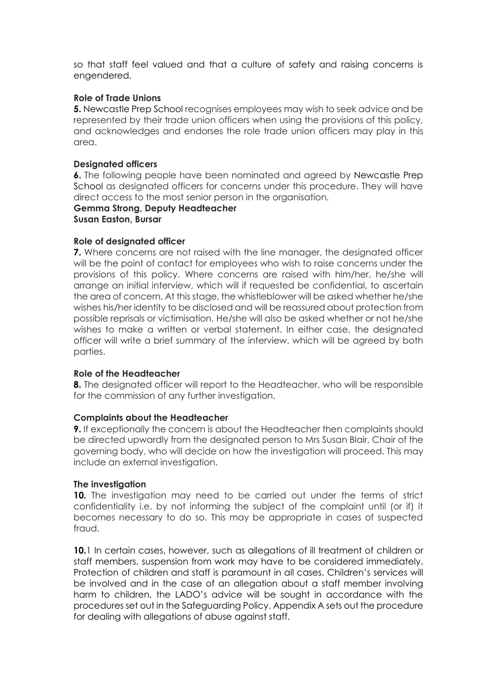so that staff feel valued and that a culture of safety and raising concerns is engendered.

# **Role of Trade Unions**

**5.** Newcastle Prep School recognises employees may wish to seek advice and be represented by their trade union officers when using the provisions of this policy, and acknowledges and endorses the role trade union officers may play in this area.

#### **Designated officers**

**6.** The following people have been nominated and agreed by Newcastle Prep School as designated officers for concerns under this procedure. They will have direct access to the most senior person in the organisation.

#### **Gemma Strong, Deputy Headteacher Susan Easton, Bursar**

#### **Role of designated officer**

**7.** Where concerns are not raised with the line manager, the designated officer will be the point of contact for employees who wish to raise concerns under the provisions of this policy. Where concerns are raised with him/her, he/she will arrange an initial interview, which will if requested be confidential, to ascertain the area of concern. At this stage, the whistleblower will be asked whether he/she wishes his/her identity to be disclosed and will be reassured about protection from possible reprisals or victimisation. He/she will also be asked whether or not he/she wishes to make a written or verbal statement. In either case, the designated officer will write a brief summary of the interview, which will be agreed by both parties.

#### **Role of the Headteacher**

**8.** The designated officer will report to the Headteacher, who will be responsible for the commission of any further investigation.

#### **Complaints about the Headteacher**

**9.** If exceptionally the concern is about the Headteacher then complaints should be directed upwardly from the designated person to Mrs Susan Blair, Chair of the governing body, who will decide on how the investigation will proceed. This may include an external investigation.

#### **The investigation**

**10.** The investigation may need to be carried out under the terms of strict confidentiality i.e. by not informing the subject of the complaint until (or if) it becomes necessary to do so. This may be appropriate in cases of suspected fraud.

**10.**1 In certain cases, however, such as allegations of ill treatment of children or staff members, suspension from work may have to be considered immediately. Protection of children and staff is paramount in all cases. Children's services will be involved and in the case of an allegation about a staff member involving harm to children, the LADO's advice will be sought in accordance with the procedures set out in the Safeguarding Policy. Appendix A sets out the procedure for dealing with allegations of abuse against staff.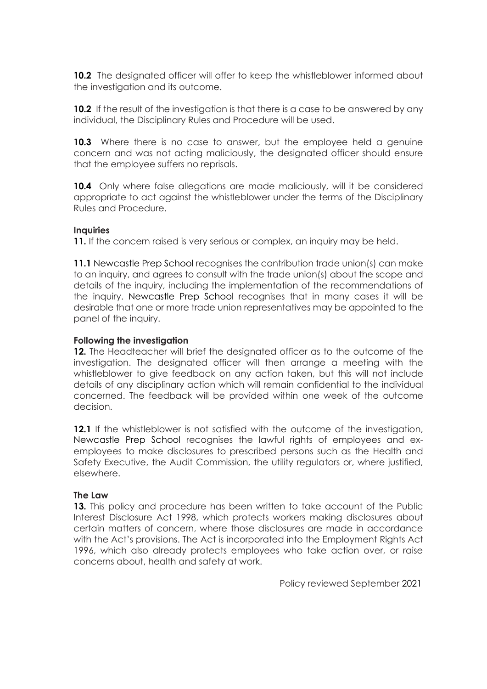**10.2** The designated officer will offer to keep the whistleblower informed about the investigation and its outcome.

**10.2** If the result of the investigation is that there is a case to be answered by any individual, the Disciplinary Rules and Procedure will be used.

**10.3** Where there is no case to answer, but the employee held a genuine concern and was not acting maliciously, the designated officer should ensure that the employee suffers no reprisals.

**10.4** Only where false allegations are made maliciously, will it be considered appropriate to act against the whistleblower under the terms of the Disciplinary Rules and Procedure.

# **Inquiries**

**11.** If the concern raised is very serious or complex, an inquiry may be held.

**11.1** Newcastle Prep School recognises the contribution trade union(s) can make to an inquiry, and agrees to consult with the trade union(s) about the scope and details of the inquiry, including the implementation of the recommendations of the inquiry. Newcastle Prep School recognises that in many cases it will be desirable that one or more trade union representatives may be appointed to the panel of the inquiry.

#### **Following the investigation**

**12.** The Headteacher will brief the designated officer as to the outcome of the investigation. The designated officer will then arrange a meeting with the whistleblower to give feedback on any action taken, but this will not include details of any disciplinary action which will remain confidential to the individual concerned. The feedback will be provided within one week of the outcome decision.

**12.1** If the whistleblower is not satisfied with the outcome of the investigation, Newcastle Prep School recognises the lawful rights of employees and exemployees to make disclosures to prescribed persons such as the Health and Safety Executive, the Audit Commission, the utility regulators or, where justified, elsewhere.

#### **The Law**

**13.** This policy and procedure has been written to take account of the Public Interest Disclosure Act 1998, which protects workers making disclosures about certain matters of concern, where those disclosures are made in accordance with the Act's provisions. The Act is incorporated into the Employment Rights Act 1996, which also already protects employees who take action over, or raise concerns about, health and safety at work.

Policy reviewed September 2021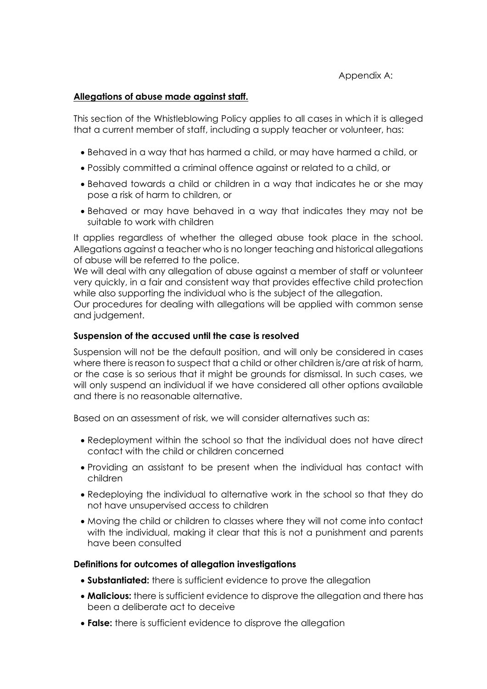Appendix A:

# **Allegations of abuse made against staff.**

This section of the Whistleblowing Policy applies to all cases in which it is alleged that a current member of staff, including a supply teacher or volunteer, has:

- Behaved in a way that has harmed a child, or may have harmed a child, or
- Possibly committed a criminal offence against or related to a child, or
- Behaved towards a child or children in a way that indicates he or she may pose a risk of harm to children, or
- Behaved or may have behaved in a way that indicates they may not be suitable to work with children

It applies regardless of whether the alleged abuse took place in the school. Allegations against a teacher who is no longer teaching and historical allegations of abuse will be referred to the police.

We will deal with any allegation of abuse against a member of staff or volunteer very quickly, in a fair and consistent way that provides effective child protection while also supporting the individual who is the subject of the allegation.

Our procedures for dealing with allegations will be applied with common sense and judgement.

#### **Suspension of the accused until the case is resolved**

Suspension will not be the default position, and will only be considered in cases where there is reason to suspect that a child or other children is/are at risk of harm, or the case is so serious that it might be grounds for dismissal. In such cases, we will only suspend an individual if we have considered all other options available and there is no reasonable alternative.

Based on an assessment of risk, we will consider alternatives such as:

- Redeployment within the school so that the individual does not have direct contact with the child or children concerned
- Providing an assistant to be present when the individual has contact with children
- Redeploying the individual to alternative work in the school so that they do not have unsupervised access to children
- Moving the child or children to classes where they will not come into contact with the individual, making it clear that this is not a punishment and parents have been consulted

#### **Definitions for outcomes of allegation investigations**

- **Substantiated:** there is sufficient evidence to prove the allegation
- **Malicious:** there is sufficient evidence to disprove the allegation and there has been a deliberate act to deceive
- **False:** there is sufficient evidence to disprove the allegation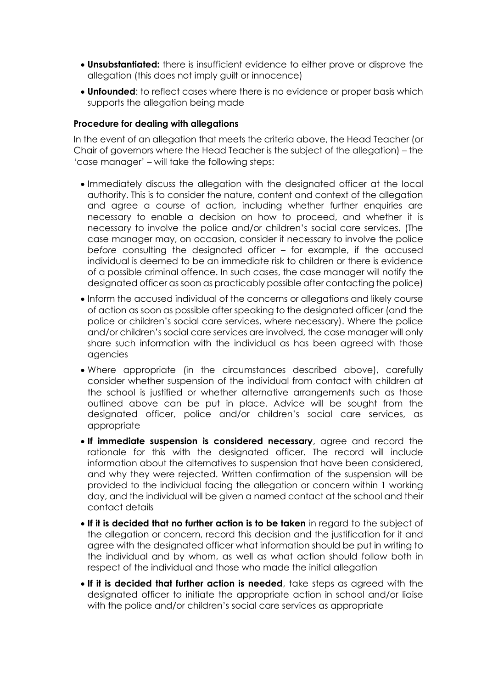- **Unsubstantiated:** there is insufficient evidence to either prove or disprove the allegation (this does not imply guilt or innocence)
- **Unfounded**: to reflect cases where there is no evidence or proper basis which supports the allegation being made

#### **Procedure for dealing with allegations**

In the event of an allegation that meets the criteria above, the Head Teacher (or Chair of governors where the Head Teacher is the subject of the allegation) – the 'case manager' – will take the following steps:

- Immediately discuss the allegation with the designated officer at the local authority. This is to consider the nature, content and context of the allegation and agree a course of action, including whether further enquiries are necessary to enable a decision on how to proceed, and whether it is necessary to involve the police and/or children's social care services. (The case manager may, on occasion, consider it necessary to involve the police *before* consulting the designated officer – for example, if the accused individual is deemed to be an immediate risk to children or there is evidence of a possible criminal offence. In such cases, the case manager will notify the designated officer as soon as practicably possible after contacting the police)
- Inform the accused individual of the concerns or allegations and likely course of action as soon as possible after speaking to the designated officer (and the police or children's social care services, where necessary). Where the police and/or children's social care services are involved, the case manager will only share such information with the individual as has been agreed with those agencies
- Where appropriate (in the circumstances described above), carefully consider whether suspension of the individual from contact with children at the school is justified or whether alternative arrangements such as those outlined above can be put in place. Advice will be sought from the designated officer, police and/or children's social care services, as appropriate
- **If immediate suspension is considered necessary**, agree and record the rationale for this with the designated officer. The record will include information about the alternatives to suspension that have been considered, and why they were rejected. Written confirmation of the suspension will be provided to the individual facing the allegation or concern within 1 working day, and the individual will be given a named contact at the school and their contact details
- **If it is decided that no further action is to be taken** in regard to the subject of the allegation or concern, record this decision and the justification for it and agree with the designated officer what information should be put in writing to the individual and by whom, as well as what action should follow both in respect of the individual and those who made the initial allegation
- **If it is decided that further action is needed**, take steps as agreed with the designated officer to initiate the appropriate action in school and/or liaise with the police and/or children's social care services as appropriate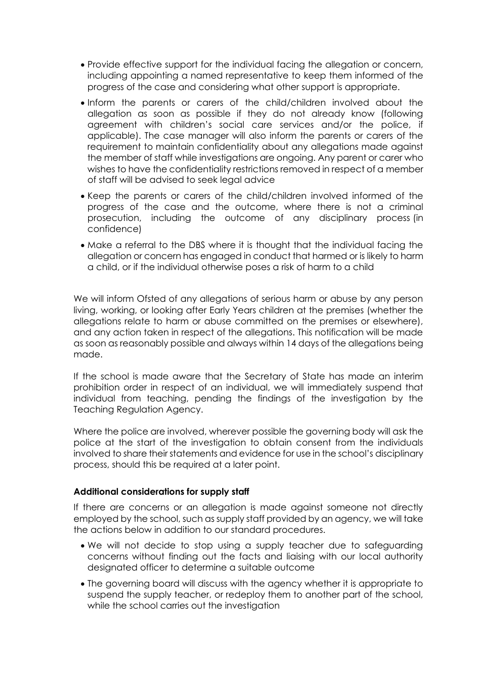- Provide effective support for the individual facing the allegation or concern, including appointing a named representative to keep them informed of the progress of the case and considering what other support is appropriate.
- Inform the parents or carers of the child/children involved about the allegation as soon as possible if they do not already know (following agreement with children's social care services and/or the police, if applicable). The case manager will also inform the parents or carers of the requirement to maintain confidentiality about any allegations made against the member of staff while investigations are ongoing. Any parent or carer who wishes to have the confidentiality restrictions removed in respect of a member of staff will be advised to seek legal advice
- Keep the parents or carers of the child/children involved informed of the progress of the case and the outcome, where there is not a criminal prosecution, including the outcome of any disciplinary process (in confidence)
- Make a referral to the DBS where it is thought that the individual facing the allegation or concern has engaged in conduct that harmed or is likely to harm a child, or if the individual otherwise poses a risk of harm to a child

We will inform Ofsted of any allegations of serious harm or abuse by any person living, working, or looking after Early Years children at the premises (whether the allegations relate to harm or abuse committed on the premises or elsewhere), and any action taken in respect of the allegations. This notification will be made as soon as reasonably possible and always within 14 days of the allegations being made.

If the school is made aware that the Secretary of State has made an interim prohibition order in respect of an individual, we will immediately suspend that individual from teaching, pending the findings of the investigation by the Teaching Regulation Agency.

Where the police are involved, wherever possible the governing body will ask the police at the start of the investigation to obtain consent from the individuals involved to share their statements and evidence for use in the school's disciplinary process, should this be required at a later point.

#### **Additional considerations for supply staff**

If there are concerns or an allegation is made against someone not directly employed by the school, such as supply staff provided by an agency, we will take the actions below in addition to our standard procedures.

- We will not decide to stop using a supply teacher due to safeguarding concerns without finding out the facts and liaising with our local authority designated officer to determine a suitable outcome
- The governing board will discuss with the agency whether it is appropriate to suspend the supply teacher, or redeploy them to another part of the school, while the school carries out the investigation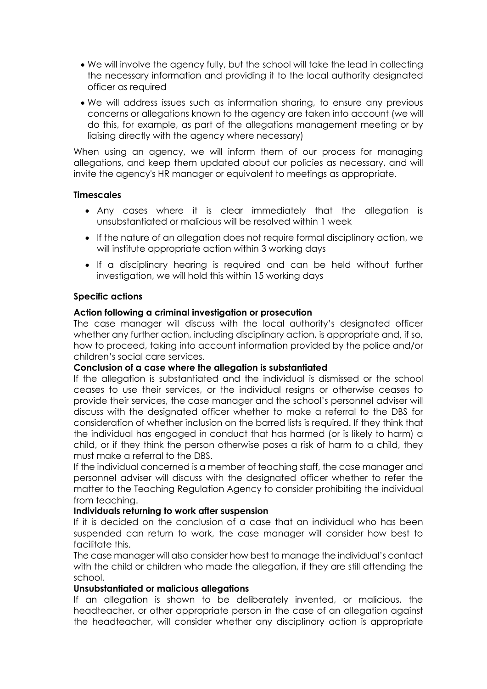- We will involve the agency fully, but the school will take the lead in collecting the necessary information and providing it to the local authority designated officer as required
- We will address issues such as information sharing, to ensure any previous concerns or allegations known to the agency are taken into account (we will do this, for example, as part of the allegations management meeting or by liaising directly with the agency where necessary)

When using an agency, we will inform them of our process for managing allegations, and keep them updated about our policies as necessary, and will invite the agency's HR manager or equivalent to meetings as appropriate.

# **Timescales**

- Any cases where it is clear immediately that the allegation is unsubstantiated or malicious will be resolved within 1 week
- If the nature of an allegation does not require formal disciplinary action, we will institute appropriate action within 3 working days
- If a disciplinary hearing is required and can be held without further investigation, we will hold this within 15 working days

# **Specific actions**

# **Action following a criminal investigation or prosecution**

The case manager will discuss with the local authority's designated officer whether any further action, including disciplinary action, is appropriate and, if so, how to proceed, taking into account information provided by the police and/or children's social care services.

#### **Conclusion of a case where the allegation is substantiated**

If the allegation is substantiated and the individual is dismissed or the school ceases to use their services, or the individual resigns or otherwise ceases to provide their services, the case manager and the school's personnel adviser will discuss with the designated officer whether to make a referral to the DBS for consideration of whether inclusion on the barred lists is required. If they think that the individual has engaged in conduct that has harmed (or is likely to harm) a child, or if they think the person otherwise poses a risk of harm to a child, they must make a referral to the DBS.

If the individual concerned is a member of teaching staff, the case manager and personnel adviser will discuss with the designated officer whether to refer the matter to the Teaching Regulation Agency to consider prohibiting the individual from teaching.

#### **Individuals returning to work after suspension**

If it is decided on the conclusion of a case that an individual who has been suspended can return to work, the case manager will consider how best to facilitate this.

The case manager will also consider how best to manage the individual's contact with the child or children who made the allegation, if they are still attending the school.

#### **Unsubstantiated or malicious allegations**

If an allegation is shown to be deliberately invented, or malicious, the headteacher, or other appropriate person in the case of an allegation against the headteacher, will consider whether any disciplinary action is appropriate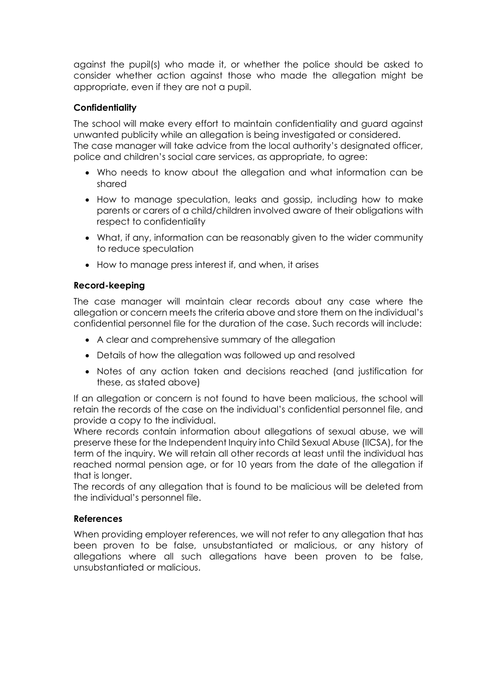against the pupil(s) who made it, or whether the police should be asked to consider whether action against those who made the allegation might be appropriate, even if they are not a pupil.

# **Confidentiality**

The school will make every effort to maintain confidentiality and guard against unwanted publicity while an allegation is being investigated or considered. The case manager will take advice from the local authority's designated officer, police and children's social care services, as appropriate, to agree:

- Who needs to know about the allegation and what information can be shared
- How to manage speculation, leaks and gossip, including how to make parents or carers of a child/children involved aware of their obligations with respect to confidentiality
- What, if any, information can be reasonably given to the wider community to reduce speculation
- How to manage press interest if, and when, it arises

# **Record-keeping**

The case manager will maintain clear records about any case where the allegation or concern meets the criteria above and store them on the individual's confidential personnel file for the duration of the case. Such records will include:

- A clear and comprehensive summary of the allegation
- Details of how the allegation was followed up and resolved
- Notes of any action taken and decisions reached (and justification for these, as stated above)

If an allegation or concern is not found to have been malicious, the school will retain the records of the case on the individual's confidential personnel file, and provide a copy to the individual.

Where records contain information about allegations of sexual abuse, we will preserve these for the Independent Inquiry into Child Sexual Abuse (IICSA), for the term of the inquiry. We will retain all other records at least until the individual has reached normal pension age, or for 10 years from the date of the allegation if that is longer.

The records of any allegation that is found to be malicious will be deleted from the individual's personnel file.

# **References**

When providing employer references, we will not refer to any allegation that has been proven to be false, unsubstantiated or malicious, or any history of allegations where all such allegations have been proven to be false, unsubstantiated or malicious.